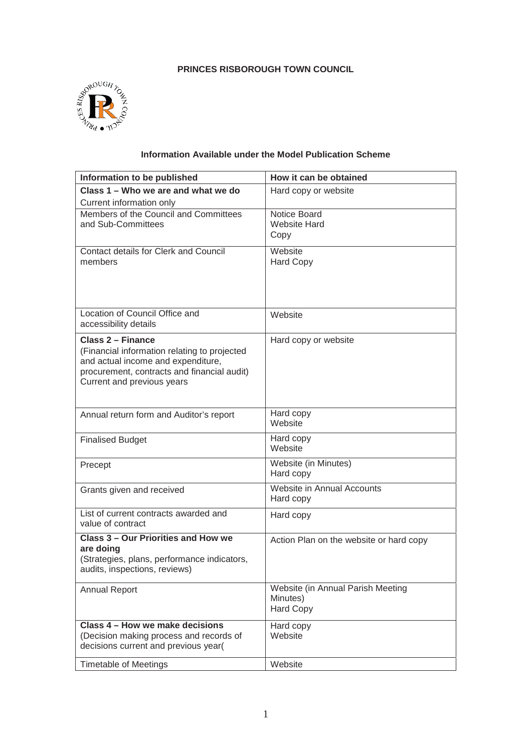# **PRINCES RISBOROUGH TOWN COUNCIL**



# **Information Available under the Model Publication Scheme**

| Information to be published                                                                                                                                                                 | How it can be obtained                                            |  |
|---------------------------------------------------------------------------------------------------------------------------------------------------------------------------------------------|-------------------------------------------------------------------|--|
| Class 1 – Who we are and what we do                                                                                                                                                         | Hard copy or website                                              |  |
| Current information only                                                                                                                                                                    |                                                                   |  |
| Members of the Council and Committees<br>and Sub-Committees                                                                                                                                 | Notice Board<br><b>Website Hard</b><br>Copy                       |  |
| <b>Contact details for Clerk and Council</b><br>members                                                                                                                                     | Website<br><b>Hard Copy</b>                                       |  |
| Location of Council Office and<br>accessibility details                                                                                                                                     | Website                                                           |  |
| <b>Class 2 - Finance</b><br>(Financial information relating to projected<br>and actual income and expenditure,<br>procurement, contracts and financial audit)<br>Current and previous years | Hard copy or website                                              |  |
| Annual return form and Auditor's report                                                                                                                                                     | Hard copy<br>Website                                              |  |
| <b>Finalised Budget</b>                                                                                                                                                                     | Hard copy<br>Website                                              |  |
| Precept                                                                                                                                                                                     | Website (in Minutes)<br>Hard copy                                 |  |
| Grants given and received                                                                                                                                                                   | Website in Annual Accounts<br>Hard copy                           |  |
| List of current contracts awarded and<br>value of contract                                                                                                                                  | Hard copy                                                         |  |
| <b>Class 3 - Our Priorities and How we</b><br>are doing<br>(Strategies, plans, performance indicators,<br>audits, inspections, reviews)                                                     | Action Plan on the website or hard copy                           |  |
| <b>Annual Report</b>                                                                                                                                                                        | Website (in Annual Parish Meeting<br>Minutes)<br><b>Hard Copy</b> |  |
| Class 4 - How we make decisions<br>(Decision making process and records of<br>decisions current and previous year(                                                                          | Hard copy<br>Website                                              |  |
| <b>Timetable of Meetings</b>                                                                                                                                                                | Website                                                           |  |